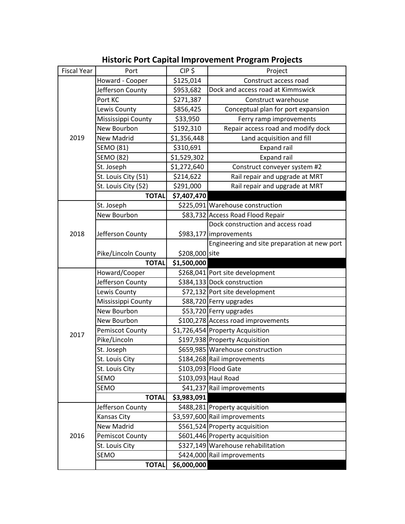## **Historic Port Capital Improvement Program Projects**

| <b>Fiscal Year</b> | Port                | $CIP$ \$       | Project                                      |
|--------------------|---------------------|----------------|----------------------------------------------|
|                    | Howard - Cooper     | \$125,014      | Construct access road                        |
|                    | Jefferson County    | \$953,682      | Dock and access road at Kimmswick            |
|                    | Port KC             | \$271,387      | Construct warehouse                          |
|                    | Lewis County        | \$856,425      | Conceptual plan for port expansion           |
|                    | Mississippi County  | \$33,950       | Ferry ramp improvements                      |
|                    | New Bourbon         | \$192,310      | Repair access road and modify dock           |
| 2019               | New Madrid          | \$1,356,448    | Land acquisition and fill                    |
|                    | <b>SEMO (81)</b>    | \$310,691      | <b>Expand rail</b>                           |
|                    | <b>SEMO (82)</b>    | \$1,529,302    | <b>Expand rail</b>                           |
|                    | St. Joseph          | \$1,272,640    | Construct conveyer system #2                 |
|                    | St. Louis City (51) | \$214,622      | Rail repair and upgrade at MRT               |
|                    | St. Louis City (52) | \$291,000      | Rail repair and upgrade at MRT               |
|                    | <b>TOTAL</b>        | \$7,407,470    |                                              |
|                    | St. Joseph          |                | \$225,091 Warehouse construction             |
|                    | New Bourbon         |                | \$83,732 Access Road Flood Repair            |
|                    |                     |                | Dock construction and access road            |
| 2018               | Jefferson County    |                | \$983,177 improvements                       |
|                    |                     |                | Engineering and site preparation at new port |
|                    | Pike/Lincoln County | \$208,000 site |                                              |
|                    | <b>TOTAL</b>        | \$1,500,000    |                                              |
|                    | Howard/Cooper       |                | \$268,041 Port site development              |
|                    | Jefferson County    |                | \$384,133 Dock construction                  |
|                    | Lewis County        |                | \$72,132 Port site development               |
|                    | Mississippi County  |                | \$88,720 Ferry upgrades                      |
|                    | New Bourbon         |                | \$53,720 Ferry upgrades                      |
|                    | New Bourbon         |                | \$100,278 Access road improvements           |
| 2017               | Pemiscot County     |                | \$1,726,454 Property Acquisition             |
|                    | Pike/Lincoln        |                | \$197,938 Property Acquisition               |
|                    | St. Joseph          |                | \$659,985 Warehouse construction             |
|                    | St. Louis City      |                | \$184,268 Rail improvements                  |
|                    | St. Louis City      |                | \$103,093 Flood Gate                         |
|                    | SEMO                |                | \$103,093 Haul Road                          |
|                    | SEMO                |                | \$41,237 Rail improvements                   |
|                    | <b>TOTAL</b>        | \$3,983,091    |                                              |
| 2016               | Jefferson County    |                | \$488,281 Property acquisition               |
|                    | Kansas City         |                | \$3,597,600 Rail improvements                |
|                    | <b>New Madrid</b>   |                | \$561,524 Property acquisition               |
|                    | Pemiscot County     |                | \$601,446 Property acquisition               |
|                    | St. Louis City      |                | \$327,149 Warehouse rehabilitation           |
|                    | SEMO                |                | \$424,000 Rail improvements                  |
|                    | <b>TOTAL</b>        | \$6,000,000    |                                              |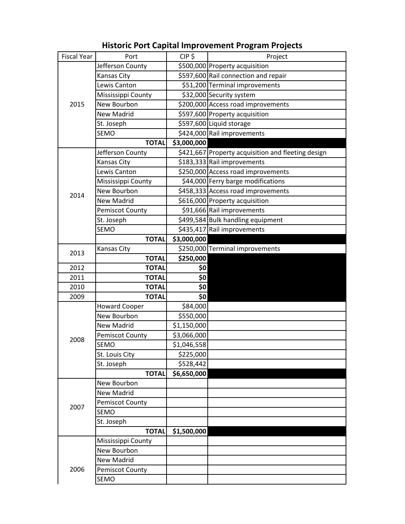## **Historic Port Capital Improvement Program Projects**

| <b>Fiscal Year</b> | Port                   | $CIP$ \$    | Project                                            |
|--------------------|------------------------|-------------|----------------------------------------------------|
| 2015               | Jefferson County       |             | \$500,000 Property acquisition                     |
|                    | Kansas City            |             | \$597,600 Rail connection and repair               |
|                    | Lewis Canton           |             | \$51,200 Terminal improvements                     |
|                    | Mississippi County     |             | \$32,000 Security system                           |
|                    | New Bourbon            |             | \$200,000 Access road improvements                 |
|                    | <b>New Madrid</b>      |             | \$597,600 Property acquisition                     |
|                    | St. Joseph             |             | \$597,600 Liquid storage                           |
|                    | <b>SEMO</b>            |             | \$424,000 Rail improvements                        |
|                    | <b>TOTAL</b>           | \$3,000,000 |                                                    |
|                    | Jefferson County       |             | \$421,667 Property acquisition and fleeting design |
|                    | Kansas City            |             | \$183,333 Rail improvements                        |
|                    | Lewis Canton           |             | \$250,000 Access road improvements                 |
|                    | Mississippi County     |             | \$44,000 Ferry barge modifications                 |
| 2014               | New Bourbon            |             | \$458,333 Access road improvements                 |
|                    | <b>New Madrid</b>      |             | \$616,000 Property acquisition                     |
|                    | <b>Pemiscot County</b> |             | \$91,666 Rail improvements                         |
|                    | St. Joseph             |             | \$499,584 Bulk handling equipment                  |
|                    | <b>SEMO</b>            |             | \$435,417 Rail improvements                        |
|                    | <b>TOTAL</b>           | \$3,000,000 |                                                    |
|                    | Kansas City            |             | \$250,000 Terminal improvements                    |
| 2013               | <b>TOTAL</b>           | \$250,000   |                                                    |
| 2012               | <b>TOTAL</b>           | \$0         |                                                    |
| 2011               | <b>TOTAL</b>           | \$0         |                                                    |
| 2010               | <b>TOTAL</b>           | \$0         |                                                    |
| 2009               | <b>TOTAL</b>           | \$0         |                                                    |
|                    | <b>Howard Cooper</b>   | \$84,000    |                                                    |
|                    | New Bourbon            | \$550,000   |                                                    |
|                    | <b>New Madrid</b>      | \$1,150,000 |                                                    |
| 2008               | Pemiscot County        | \$3,066,000 |                                                    |
|                    | <b>SEMO</b>            | \$1,046,558 |                                                    |
|                    | St. Louis City         | \$225,000   |                                                    |
|                    | St. Joseph             | \$528,442   |                                                    |
|                    | <b>TOTAL</b>           | \$6,650,000 |                                                    |
|                    | New Bourbon            |             |                                                    |
|                    | <b>New Madrid</b>      |             |                                                    |
| 2007               | <b>Pemiscot County</b> |             |                                                    |
|                    | <b>SEMO</b>            |             |                                                    |
|                    | St. Joseph             |             |                                                    |
|                    | <b>TOTAL</b>           | \$1,500,000 |                                                    |
| 2006               | Mississippi County     |             |                                                    |
|                    | New Bourbon            |             |                                                    |
|                    | New Madrid             |             |                                                    |
|                    |                        |             |                                                    |
|                    | <b>Pemiscot County</b> |             |                                                    |